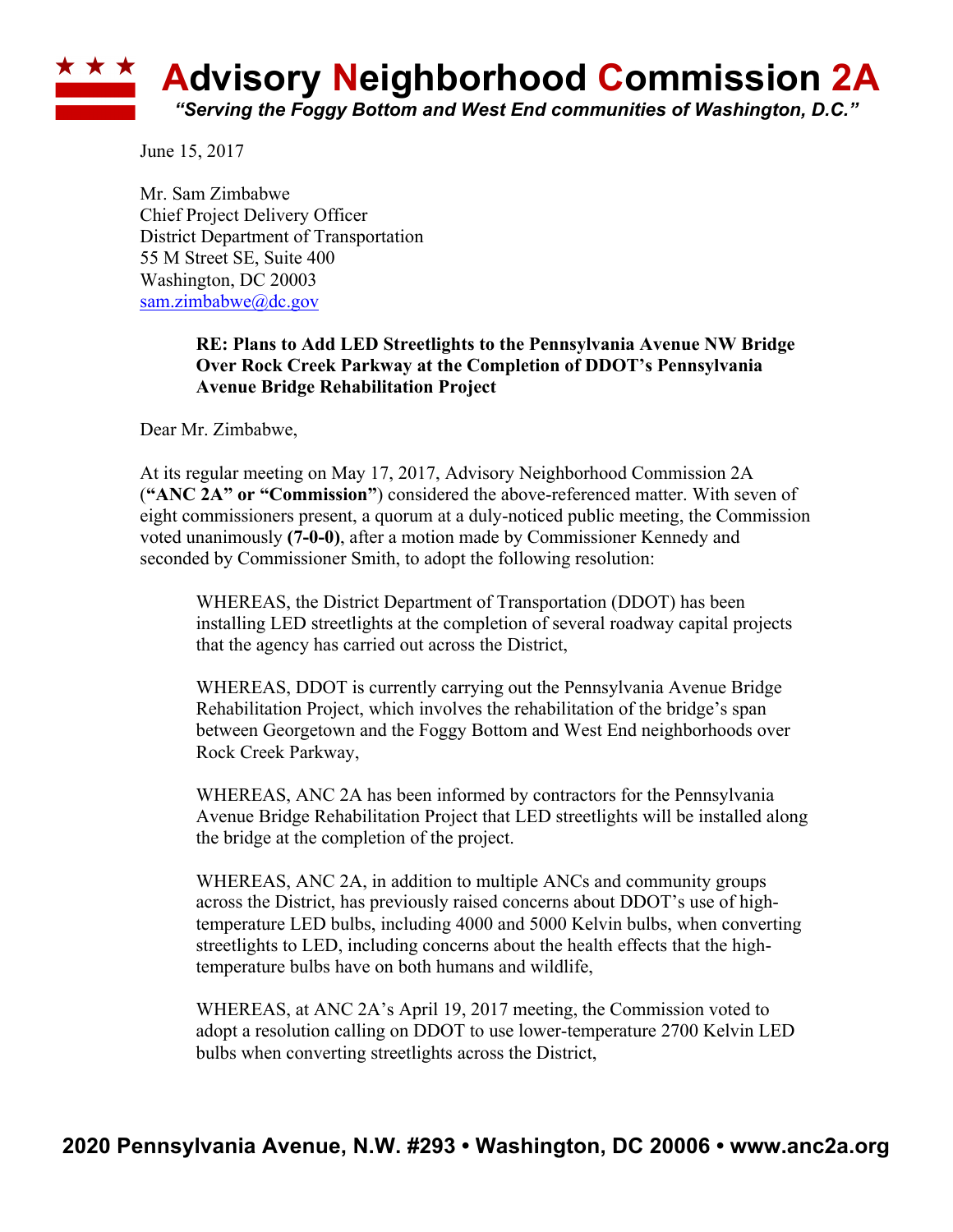## **Advisory Neighborhood Commission 2A** *"Serving the Foggy Bottom and West End communities of Washington, D.C."*

June 15, 2017

Mr. Sam Zimbabwe Chief Project Delivery Officer District Department of Transportation 55 M Street SE, Suite 400 Washington, DC 20003 sam.zimbabwe@dc.gov

## **RE: Plans to Add LED Streetlights to the Pennsylvania Avenue NW Bridge Over Rock Creek Parkway at the Completion of DDOT's Pennsylvania Avenue Bridge Rehabilitation Project**

Dear Mr. Zimbabwe,

At its regular meeting on May 17, 2017, Advisory Neighborhood Commission 2A (**"ANC 2A" or "Commission"**) considered the above-referenced matter. With seven of eight commissioners present, a quorum at a duly-noticed public meeting, the Commission voted unanimously **(7-0-0)**, after a motion made by Commissioner Kennedy and seconded by Commissioner Smith, to adopt the following resolution:

WHEREAS, the District Department of Transportation (DDOT) has been installing LED streetlights at the completion of several roadway capital projects that the agency has carried out across the District,

WHEREAS, DDOT is currently carrying out the Pennsylvania Avenue Bridge Rehabilitation Project, which involves the rehabilitation of the bridge's span between Georgetown and the Foggy Bottom and West End neighborhoods over Rock Creek Parkway,

WHEREAS, ANC 2A has been informed by contractors for the Pennsylvania Avenue Bridge Rehabilitation Project that LED streetlights will be installed along the bridge at the completion of the project.

WHEREAS, ANC 2A, in addition to multiple ANCs and community groups across the District, has previously raised concerns about DDOT's use of hightemperature LED bulbs, including 4000 and 5000 Kelvin bulbs, when converting streetlights to LED, including concerns about the health effects that the hightemperature bulbs have on both humans and wildlife,

WHEREAS, at ANC 2A's April 19, 2017 meeting, the Commission voted to adopt a resolution calling on DDOT to use lower-temperature 2700 Kelvin LED bulbs when converting streetlights across the District,